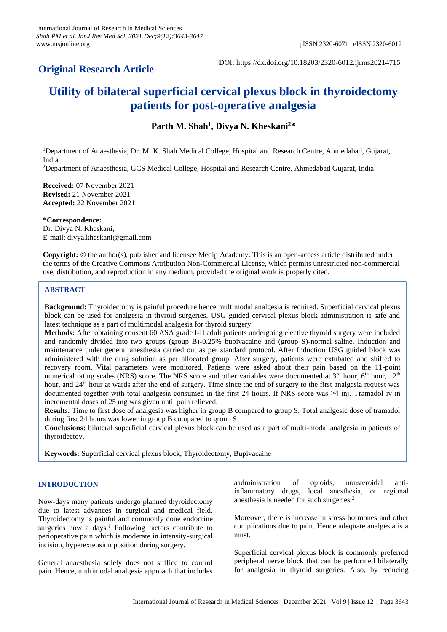## **Original Research Article**

DOI: https://dx.doi.org/10.18203/2320-6012.ijrms20214715

# **Utility of bilateral superficial cervical plexus block in thyroidectomy patients for post-operative analgesia**

**Parth M. Shah<sup>1</sup> , Divya N. Kheskani<sup>2</sup>\***

<sup>1</sup>Department of Anaesthesia, Dr. M. K. Shah Medical College, Hospital and Research Centre, Ahmedabad, Gujarat, India

<sup>2</sup>Department of Anaesthesia, GCS Medical College, Hospital and Research Centre, Ahmedabad Gujarat, India

**Received:** 07 November 2021 **Revised:** 21 November 2021 **Accepted:** 22 November 2021

**\*Correspondence:** Dr. Divya N. Kheskani, E-mail: divya.kheskani@gmail.com

**Copyright:** © the author(s), publisher and licensee Medip Academy. This is an open-access article distributed under the terms of the Creative Commons Attribution Non-Commercial License, which permits unrestricted non-commercial use, distribution, and reproduction in any medium, provided the original work is properly cited.

## **ABSTRACT**

**Background:** Thyroidectomy is painful procedure hence multimodal analgesia is required. Superficial cervical plexus block can be used for analgesia in thyroid surgeries. USG guided cervical plexus block administration is safe and latest technique as a part of multimodal analgesia for thyroid surgery.

**Methods:** After obtaining consent 60 ASA grade I-II adult patients undergoing elective thyroid surgery were included and randomly divided into two groups (group B)-0.25% bupivacaine and (group S)-normal saline. Induction and maintenance under general anesthesia carried out as per standard protocol. After Induction USG guided block was administered with the drug solution as per allocated group. After surgery, patients were extubated and shifted to recovery room. Vital parameters were monitored. Patients were asked about their pain based on the 11-point numerical rating scales (NRS) score. The NRS score and other variables were documented at 3<sup>rd</sup> hour, 6<sup>th</sup> hour, 12<sup>th</sup> hour, and 24<sup>th</sup> hour at wards after the end of surgery. Time since the end of surgery to the first analgesia request was documented together with total analgesia consumed in the first 24 hours. If NRS score was ≥4 inj. Tramadol iv in incremental doses of 25 mg was given until pain relieved.

**Result**s: Time to first dose of analgesia was higher in group B compared to group S. Total analgesic dose of tramadol during first 24 hours was lower in group B compared to group S

**Conclusions:** bilateral superficial cervical plexus block can be used as a part of multi-modal analgesia in patients of thyroidectoy.

**Keywords:** Superficial cervical plexus block, Thyroidectomy, Bupivacaine

## **INTRODUCTION**

Now-days many patients undergo planned thyroidectomy due to latest advances in surgical and medical field. Thyroidectomy is painful and commonly done endocrine surgeries now a days.<sup>1</sup> Following factors contribute to perioperative pain which is moderate in intensity-surgical incision, hyperextension position during surgery.

General anaesthesia solely does not suffice to control pain. Hence, multimodal analgesia approach that includes

aadministration of opioids, nonsteroidal antiinflammatory drugs, local anesthesia, or regional anesthesia is needed for such surgeries.<sup>2</sup>

Moreover, there is increase in stress hormones and other complications due to pain. Hence adequate analgesia is a must.

Superficial cervical plexus block is commonly preferred peripheral nerve block that can be performed bilaterally for analgesia in thyroid surgeries. Also, by reducing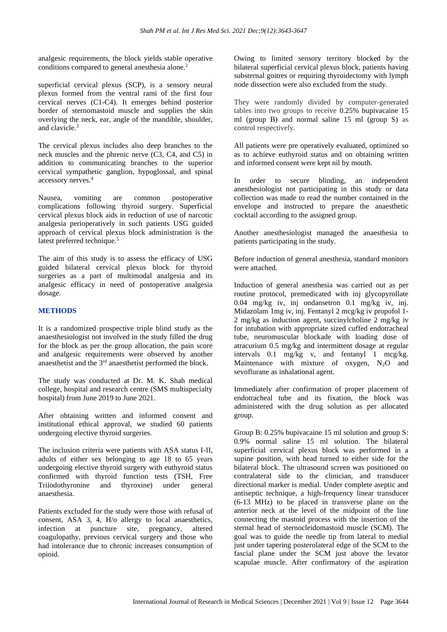analgesic requirements, the block yields stable operative conditions compared to general anesthesia alone.<sup>2</sup>

superficial cervical plexus (SCP), is a sensory neural plexus formed from the ventral rami of the first four cervical nerves (C1-C4). It emerges behind posterior border of sternomastoid muscle and supplies the skin overlying the neck, ear, angle of the mandible, shoulder, and clavicle.<sup>3</sup>

The cervical plexus includes also deep branches to the neck muscles and the phrenic nerve (C3, C4, and C5) in addition to communicating branches to the superior cervical sympathetic ganglion, hypoglossal, and spinal accessory nerves.<sup>4</sup>

Nausea, vomiting are common postoperative complications following thyroid surgery. Superficial cervical plexus block aids in reduction of use of narcotic analgesia perioperatively in such patients USG guided approach of cervical plexus block administration is the latest preferred technique.<sup>5</sup>

The aim of this study is to assess the efficacy of USG guided bilateral cervical plexus block for thyroid surgeries as a part of multimodal analgesia and its analgesic efficacy in need of postoperative analgesia dosage.

### **METHODS**

It is a randomized prospective triple blind study as the anaesthesiologist not involved in the study filled the drug for the block as per the group allocation, the pain score and analgesic requirements were observed by another anaesthetist and the 3rd anaesthetist performed the block.

The study was conducted at Dr. M. K. Shah medical college, hospital and research centre (SMS multispecialty hospital) from June 2019 to June 2021.

After obtaining written and informed consent and institutional ethical approval, we studied 60 patients undergoing elective thyroid surgeries.

The inclusion criteria were patients with ASA status I-II, adults of either sex belonging to age 18 to 65 years undergoing elective thyroid surgery with euthyroid status confirmed with thyroid function tests (TSH, Free Triiodothyronine and thyroxine) under general anaesthesia.

Patients excluded for the study were those with refusal of consent, ASA 3, 4, H/o allergy to local anaesthetics, infection at puncture site, pregnancy, altered coagulopathy, previous cervical surgery and those who had intolerance due to chronic increases consumption of opioid.

Owing to limited sensory territory blocked by the bilateral superficial cervical plexus block, patients having substernal goitres or requiring thyroidectomy with lymph node dissection were also excluded from the study.

They were randomly divided by computer-generated tables into two groups to receive 0.25% bupivacaine 15 ml (group B) and normal saline 15 ml (group S) as control respectively.

All patients were pre operatively evaluated, optimized so as to achieve euthyroid status and on obtaining written and informed consent were kept nil by mouth.

In order to secure blinding, an independent anesthesiologist not participating in this study or data collection was made to read the number contained in the envelope and instructed to prepare the anaesthetic cocktail according to the assigned group.

Another anesthesiologist managed the anaesthesia to patients participating in the study.

Before induction of general anesthesia, standard monitors were attached.

Induction of general anesthesia was carried out as per routine protocol, premedicated with inj glycopyrollate 0.04 mg/kg iv, inj ondansetron 0.1 mg/kg iv, inj. Midazolam 1mg iv, inj. Fentanyl 2 mcg/kg iv propofol 1- 2 mg/kg as induction agent, succinylcholine 2 mg/kg iv for intubation with appropriate sized cuffed endotracheal tube, neuromuscular blockade with loading dose of atracurium 0.5 mg/kg and intermittent dosage at regular intervals 0.1 mg/kg v, and fentanyl 1 mcg/kg. Maintenance with mixture of oxygen,  $N_2O$  and sevoflurane as inhalational agent.

Immediately after confirmation of proper placement of endotracheal tube and its fixation, the block was administered with the drug solution as per allocated group.

Group B: 0.25% bupivacaine 15 ml solution and group S: 0.9% normal saline 15 ml solution. The bilateral superficial cervical plexus block was performed in a supine position, with head turned to either side for the bilateral block. The ultrasound screen was positioned on contralateral side to the clinician, and transducer directional marker is medial. Under complete aseptic and antiseptic technique, a high-frequency linear transducer (6-13 MHz) to be placed in transverse plane on the anterior neck at the level of the midpoint of the line connecting the mastoid process with the insertion of the sternal head of sternocleidomastoid muscle (SCM). The goal was to guide the needle tip from lateral to medial just under tapering posterolateral edge of the SCM to the fascial plane under the SCM just above the levator scapulae muscle. After confirmatory of the aspiration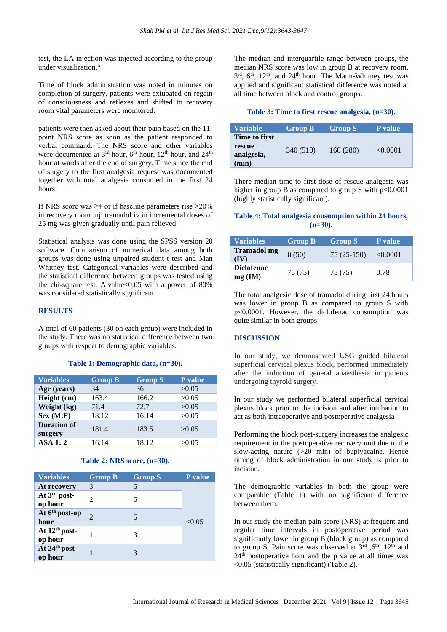test, the LA injection was injected according to the group under visualization.<sup>6</sup>

Time of block administration was noted in minutes on completion of surgery, patients were extubated on regain of consciousness and reflexes and shifted to recovery room vital parameters were monitored.

patients were then asked about their pain based on the 11 point NRS score as soon as the patient responded to verbal command. The NRS score and other variables were documented at  $3<sup>rd</sup>$  hour,  $6<sup>th</sup>$  hour,  $12<sup>th</sup>$  hour, and  $24<sup>th</sup>$ hour at wards after the end of surgery. Time since the end of surgery to the first analgesia request was documented together with total analgesia consumed in the first 24 hours.

If NRS score was ≥4 or if baseline parameters rise >20% in recovery room inj. tramadol iv in incremental doses of 25 mg was given gradually until pain relieved.

Statistical analysis was done using the SPSS version 20 software. Comparison of numerical data among both groups was done using unpaired student t test and Man Whitney test. Categorical variables were described and the statistical difference between groups was tested using the chi-square test. A value <  $0.05$  with a power of 80% was considered statistically significant.

## **RESULTS**

A total of 60 patients (30 on each group) were included in the study. There was no statistical difference between two groups with respect to demographic variables.

#### **Table 1: Demographic data, (n=30).**

| <b>Variables</b>              | <b>Group B</b> | <b>Group S</b> | P value |
|-------------------------------|----------------|----------------|---------|
| Age (years)                   | 34             | 36             | >0.05   |
| Height (cm)                   | 163.4          | 166.2          | >0.05   |
| Weight (kg)                   | 71.4           | 72.7           | >0.05   |
| Sex (M: F)                    | 18:12          | 16:14          | >0.05   |
| <b>Duration of</b><br>surgery | 181.4          | 183.5          | >0.05   |
| <b>ASA 1:2</b>                | 16:14          | 18:12          | >0.05   |

#### **Table 2: NRS score, (n=30).**

| <b>Variables</b>                     | <b>Group B</b> | <b>Group S</b> | <b>P</b> value |
|--------------------------------------|----------------|----------------|----------------|
| At recovery                          | 3              | 5              |                |
| At 3rd post-<br>op hour              | 2              | 5              |                |
| At 6 <sup>th</sup> post-op<br>hour   | っ              | 5              | < 0.05         |
| At 12 <sup>th</sup> post-<br>op hour |                |                |                |
| At 24th post-<br>op hour             |                |                |                |

The median and interquartile range between groups, the median NRS score was low in group B at recovery room, 3<sup>rd</sup>, 6<sup>th</sup>, 12<sup>th</sup>, and 24<sup>th</sup> hour. The Mann-Whitney test was applied and significant statistical difference was noted at all time between block and control groups.

#### **Table 3: Time to first rescue analgesia, (n=30).**

| Variable             | <b>Group B</b> | <b>Group S</b> | P value  |
|----------------------|----------------|----------------|----------|
| Time to first        |                |                |          |
| rescue<br>analgesia, | 340 (510)      | 160 (280)      | < 0.0001 |
| (min)                |                |                |          |

There median time to first dose of rescue analgesia was higher in group B as compared to group S with  $p<0.0001$ (highly statistically significant).

#### **Table 4: Total analgesia consumption within 24 hours, (n=30).**

| <b>Variables</b>               | <b>Group B</b> | <b>Group S</b> | <b>P</b> value |
|--------------------------------|----------------|----------------|----------------|
| <b>Tramadol mg</b><br>(IV)     | 0(50)          | $75(25-150)$   | < 0.0001       |
| <b>Diclofenac</b><br>$mg$ (IM) | 75 (75)        | 75 (75)        | 0.78           |

The total analgesic dose of tramadol during first 24 hours was lower in group B as compared to group S with p<0.0001. However, the diclofenac consumption was quite similar in both groups

#### **DISCUSSION**

In our study, we demonstrated USG guided bilateral superficial cervical plexus block, performed immediately after the induction of general anaesthesia in patients undergoing thyroid surgery.

In our study we performed bilateral superficial cervical plexus block prior to the incision and after intubation to act as both intraoperative and postoperative analgesia

Performing the block post-surgery increases the analgesic requirement in the postoperative recovery unit due to the slow-acting nature (>20 min) of bupivacaine. Hence timing of block administration in our study is prior to incision.

The demographic variables in both the group were comparable (Table 1) with no significant difference between them.

In our study the median pain score (NRS) at frequent and regular time intervals in postoperative period was significantly lower in group B (block group) as compared to group S. Pain score was observed at  $3<sup>rd</sup>$ ,  $6<sup>th</sup>$ ,  $12<sup>th</sup>$  and  $24<sup>th</sup>$  postoperative hour and the p value at all times was <0.05 (statistically significant) (Table 2).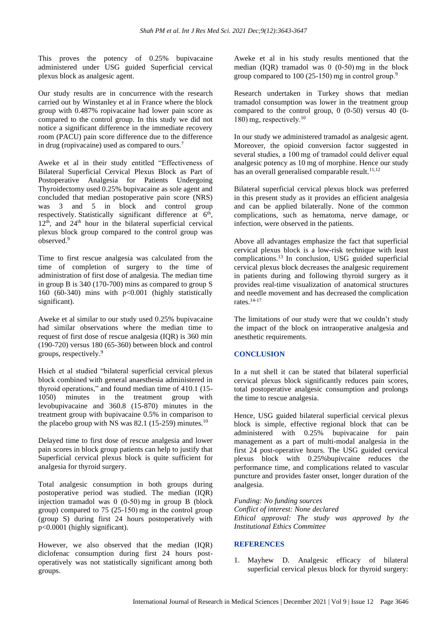This proves the potency of 0.25% bupivacaine administered under USG guided Superficial cervical plexus block as analgesic agent.

Our study results are in concurrence with the research carried out by Winstanley et al in France where the block group with 0.487% ropivacaine had lower pain score as compared to the control group. In this study we did not notice a significant difference in the immediate recovery room (PACU) pain score difference due to the difference in drug (ropivacaine) used as compared to ours.<sup>7</sup>

Aweke et al in their study entitled "Effectiveness of Bilateral Superficial Cervical Plexus Block as Part of Postoperative Analgesia for Patients Undergoing Thyroidectomy used 0.25% bupivacaine as sole agent and concluded that median postoperative pain score (NRS) was 3 and 5 in block and control group respectively. Statistically significant difference at 6<sup>th</sup>,  $12<sup>th</sup>$ , and  $24<sup>th</sup>$  hour in the bilateral superficial cervical plexus block group compared to the control group was observed.<sup>9</sup>

Time to first rescue analgesia was calculated from the time of completion of surgery to the time of administration of first dose of analgesia. The median time in group B is 340 (170-700) mins as compared to group S 160 (60-340) mins with p<0.001 (highly statistically significant).

Aweke et al similar to our study used 0.25% bupivacaine had similar observations where the median time to request of first dose of rescue analgesia (IQR) is 360 min (190-720) versus 180 (65-360) between block and control groups, respectively.<sup>9</sup>

Hsieh et al studied "bilateral superficial cervical plexus block combined with general anaesthesia administered in thyroid operations," and found median time of 410.1 (15- 1050) minutes in the treatment group with levobupivacaine and 360.8 (15-870) minutes in the treatment group with bupivacaine 0.5% in comparison to the placebo group with NS was  $82.1$  (15-259) minutes.<sup>10</sup>

Delayed time to first dose of rescue analgesia and lower pain scores in block group patients can help to justify that Superficial cervical plexus block is quite sufficient for analgesia for thyroid surgery.

Total analgesic consumption in both groups during postoperative period was studied. The median (IQR) injection tramadol was 0 (0-50) mg in group B (block group) compared to 75 (25-150) mg in the control group (group S) during first 24 hours postoperatively with p<0.0001 (highly significant).

However, we also observed that the median (IQR) diclofenac consumption during first 24 hours postoperatively was not statistically significant among both groups.

Aweke et al in his study results mentioned that the median (IQR) tramadol was 0 (0-50) mg in the block group compared to 100 (25-150) mg in control group.<sup>9</sup>

Research undertaken in Turkey shows that median tramadol consumption was lower in the treatment group compared to the control group,  $0$  (0-50) versus  $\overline{40}$  (0-180) mg, respectively.<sup>10</sup>

In our study we administered tramadol as analgesic agent. Moreover, the opioid conversion factor suggested in several studies, a 100 mg of tramadol could deliver equal analgesic potency as 10 mg of morphine. Hence our study has an overall generalised comparable result. $11,12$ 

Bilateral superficial cervical plexus block was preferred in this present study as it provides an efficient analgesia and can be applied bilaterally. None of the common complications, such as hematoma, nerve damage, or infection, were observed in the patients.

Above all advantages emphasize the fact that superficial cervical plexus block is a low-risk technique with least complications.<sup>13</sup> In conclusion, USG guided superficial cervical plexus block decreases the analgesic requirement in patients during and following thyroid surgery as it provides real-time visualization of anatomical structures and needle movement and has decreased the complication rates $14-17$ 

The limitations of our study were that we couldn't study the impact of the block on intraoperative analgesia and anesthetic requirements.

## **CONCLUSION**

In a nut shell it can be stated that bilateral superficial cervical plexus block significantly reduces pain scores, total postoperative analgesic consumption and prolongs the time to rescue analgesia.

Hence, USG guided bilateral superficial cervical plexus block is simple, effective regional block that can be administered with 0.25% bupivacaine for pain management as a part of multi-modal analgesia in the first 24 post-operative hours. The USG guided cervical plexus block with 0.25%bupivcaine reduces the performance time, and complications related to vascular puncture and provides faster onset, longer duration of the analgesia.

*Funding: No funding sources Conflict of interest: None declared Ethical approval: The study was approved by the Institutional Ethics Committee*

## **REFERENCES**

1. Mayhew D. Analgesic efficacy of bilateral superficial cervical plexus block for thyroid surgery: